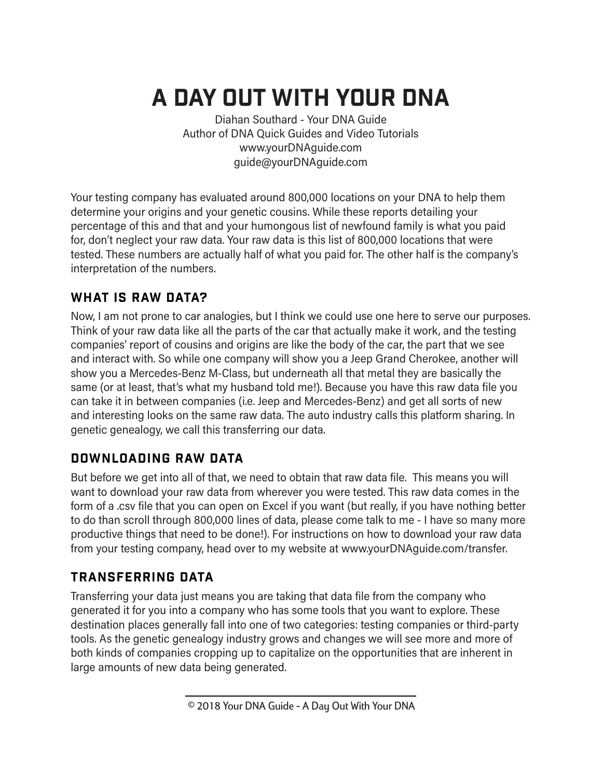# A Day out with your DNA

Diahan Southard - Your DNA Guide Author of DNA Quick Guides and Video Tutorials www.yourDNAguide.com guide@yourDNAguide.com

Your testing company has evaluated around 800,000 locations on your DNA to help them determine your origins and your genetic cousins. While these reports detailing your percentage of this and that and your humongous list of newfound family is what you paid for, don't neglect your raw data. Your raw data is this list of 800,000 locations that were tested. These numbers are actually half of what you paid for. The other half is the company's interpretation of the numbers.

## WHAT IS RAW DATA?

Now, I am not prone to car analogies, but I think we could use one here to serve our purposes. Think of your raw data like all the parts of the car that actually make it work, and the testing companies' report of cousins and origins are like the body of the car, the part that we see and interact with. So while one company will show you a Jeep Grand Cherokee, another will show you a Mercedes-Benz M-Class, but underneath all that metal they are basically the same (or at least, that's what my husband told me!). Because you have this raw data file you can take it in between companies (i.e. Jeep and Mercedes-Benz) and get all sorts of new and interesting looks on the same raw data. The auto industry calls this platform sharing. In genetic genealogy, we call this transferring our data.

# Downloading Raw Data

But before we get into all of that, we need to obtain that raw data file. This means you will want to download your raw data from wherever you were tested. This raw data comes in the form of a .csv file that you can open on Excel if you want (but really, if you have nothing better to do than scroll through 800,000 lines of data, please come talk to me - I have so many more productive things that need to be done!). For instructions on how to download your raw data from your testing company, head over to my website at www.yourDNAguide.com/transfer.

# Transferring Data

Transferring your data just means you are taking that data file from the company who generated it for you into a company who has some tools that you want to explore. These destination places generally fall into one of two categories: testing companies or third-party tools. As the genetic genealogy industry grows and changes we will see more and more of both kinds of companies cropping up to capitalize on the opportunities that are inherent in large amounts of new data being generated.